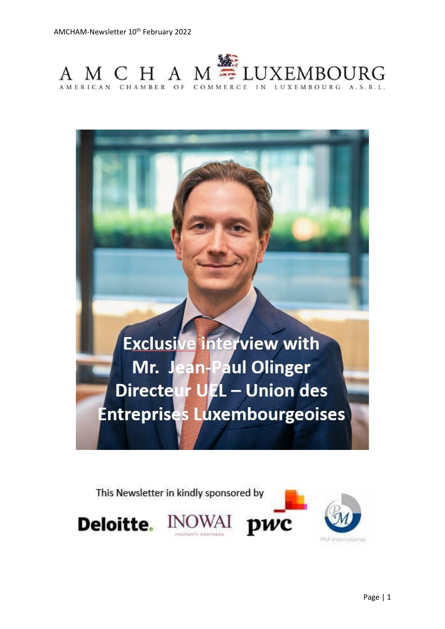



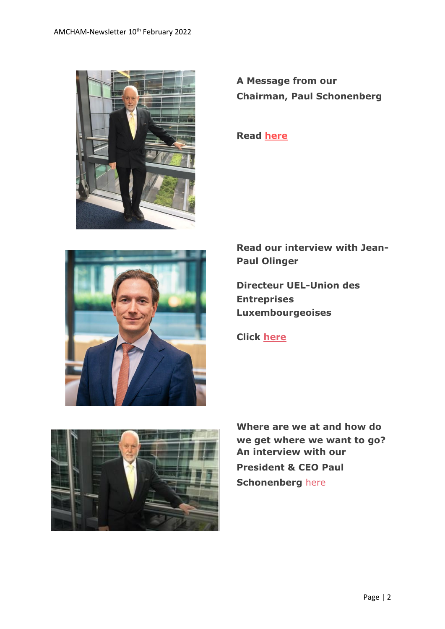

**A Message from our Chairman, Paul Schonenberg**

**Read [here](https://www.amcham.lu/newsletter/chairmans-remarks-10th-february-2022/)**



**Read our interview with Jean-Paul Olinger**

**Directeur UEL-Union des Entreprises Luxembourgeoises**

**Click [here](https://www.amcham.lu/newsletter/interview-with-jean-paul-olinger-directeur-uel-union-des-entreprises-luxembourgeoises/)**



**Where are we at and how do we get where we want to go? An interview with our President & CEO Paul Schonenberg** [here](https://www.luxtimes.lu/en/sponsored/2022-where-are-we-at-and-how-do-we-get-where-we-want-to-go-61f93f7cde135b9236551f3b)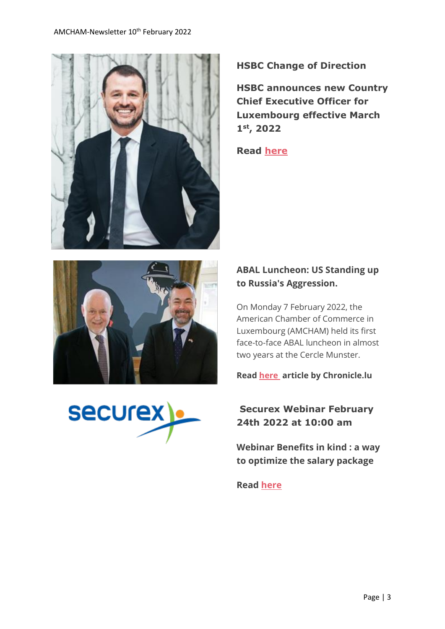



**HSBC announces new Country Chief Executive Officer for Luxembourg effective March 1st, 2022**

**Read [here](https://www.amcham.lu/wp-content/uploads/2022/02/HSBC-announces-new-CEO-in-Luxembourg.pdf)**





### **ABAL Luncheon: US Standing up to Russia's Aggression.**

On Monday 7 February 2022, the American Chamber of Commerce in Luxembourg (AMCHAM) held its first face-to-face ABAL luncheon in almost two years at the Cercle Munster.

**Read [here](https://chronicle.lu/category/american-chamber-amcham/39488-abal-luncheon-us-standing-up-to-russias-aggression) article by Chronicle.lu**

## **Securex Webinar February 24th 2022 at 10:00 am**

**Webinar Benefits in kind : a way to optimize the salary package**

**Read [here](https://www.amcham.lu/wp-content/uploads/2022/02/securex-hracademy.pdf)**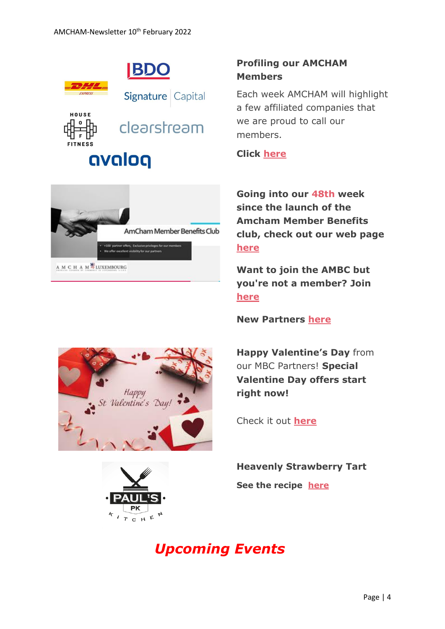



## **Profiling our AMCHAM Members**

Each week AMCHAM will highlight a few affiliated companies that we are proud to call our members.

**Click [here](https://www.amcham.lu/newsletter/profiling-our-amcham-members-10-february-2022/)**

**Going into our 48th week since the launch of the Amcham Member Benefits club, check out our web page [here](https://www.amcham.lu/amcham-benefits-club/)**

**Want to join the AMBC but you're not a member? Join [here](https://www.amcham.lu/amcham-benefits-club/ambc-card-for-non-members/)**

**New Partners [here](https://www.amcham.lu/newsletter/new-mbc-partners-as-of-10th-february-2022/)**

**Happy Valentine's Day** from our MBC Partners! **Special Valentine Day offers start right now!**

Check it out **[here](https://www.amcham.lu/newsletter/valentines-day-special-offers-for-mbc-card-holders/)**

**Heavenly Strawberry Tart See the recipe [here](https://www.amcham.lu/newsletter/recipe-strawberry-tart/)**





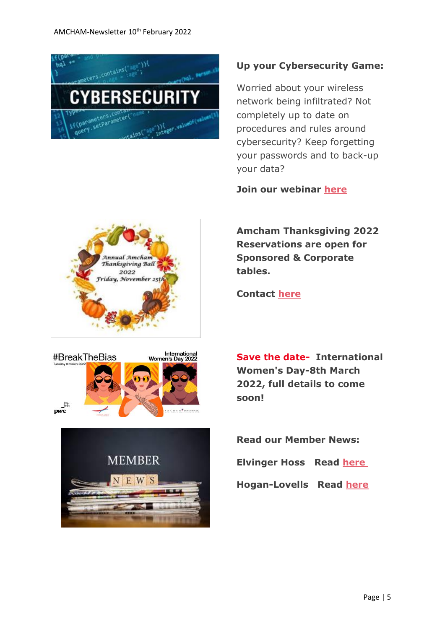

#### **Up your Cybersecurity Game:**

Worried about your wireless network being infiltrated? Not completely up to date on procedures and rules around cybersecurity? Keep forgetting your passwords and to back-up your data?

**Join our webinar [here](https://www.amcham.lu/events/up-your-cybersecurity-game/)**

**Amcham Thanksgiving 2022 Reservations are open for Sponsored & Corporate tables.** 



International<br>Women's Day 2022 #BreakTheBias  $\mathbb{P}^{\mathbb{P}^{\mathbb{P}^{\mathbb{P}}}}$ 



**Contact [here](mailto:daniel@amcham.lu)**

**Save the date- International Women's Day-8th March 2022, full details to come soon!**

**Read our Member News: Elvinger Hoss Read [here](https://www.amcham.lu/newsletter/cross-border-fund-distribution-update/?preview_id=18458&preview_nonce=03ebdb1071&_thumbnail_id=-1&preview=true)**

#### **Hogan-Lovells Read [here](https://www.amcham.lu/newsletter/hogan-lovells-news/)**